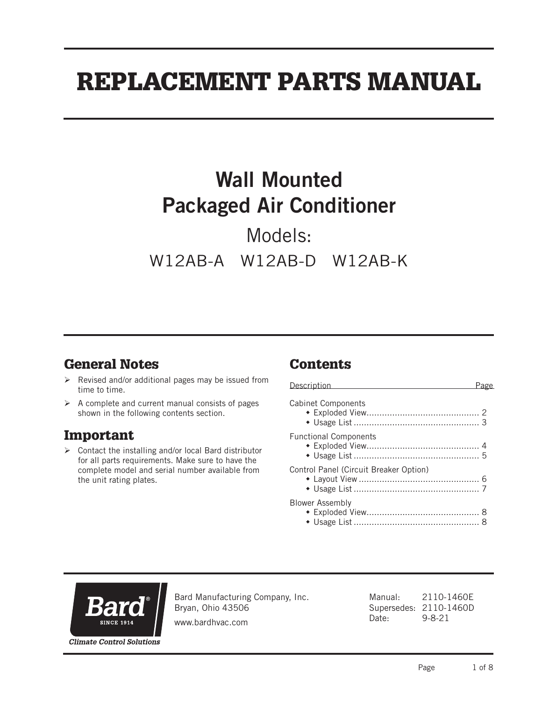# REPLACEMENT PARTS MANUAL

# Wall Mounted Packaged Air Conditioner

Models: W12AB-A W12AB-D W12AB-K

## General Notes

- $\triangleright$  Revised and/or additional pages may be issued from time to time.
- $\triangleright$  A complete and current manual consists of pages shown in the following contents section.

#### Important

 $\triangleright$  Contact the installing and/or local Bard distributor for all parts requirements. Make sure to have the complete model and serial number available from the unit rating plates.

## **Contents**

| Description                            |  |
|----------------------------------------|--|
| <b>Cabinet Components</b>              |  |
| <b>Functional Components</b>           |  |
| Control Panel (Circuit Breaker Option) |  |
| <b>Blower Assembly</b>                 |  |



Bard Manufacturing Company, Inc. Bryan, Ohio 43506

www.bardhvac.com

Manual: 2110-1460E Supersedes: 2110-1460D Date: 9-8-21

**Climate Control Solutions**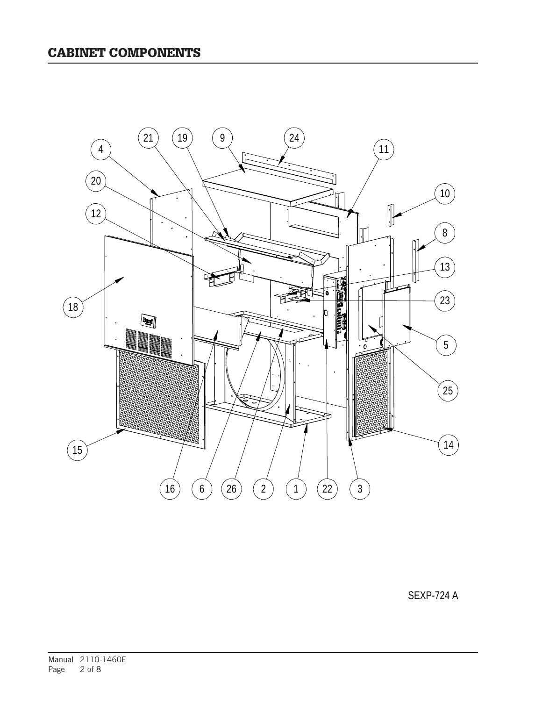

SEXP-724 A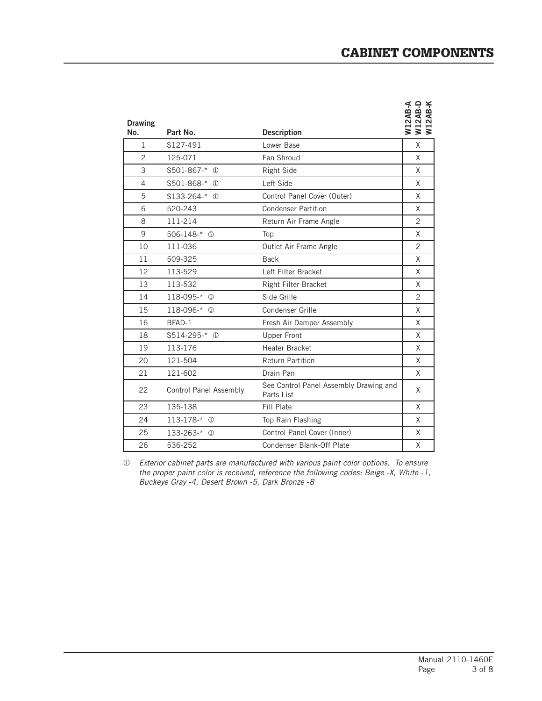| <b>Drawing</b><br>No. | Part No.                      | <b>Description</b>                                   | <b>W12AB-A<br/>U12AB-D<br/>W12AB-K</b> |
|-----------------------|-------------------------------|------------------------------------------------------|----------------------------------------|
| $\mathbf{1}$          | S127-491                      | Lower Base                                           | X                                      |
| $\overline{c}$        | 125-071                       | Fan Shroud                                           | X                                      |
| 3                     | S501-867-* ①                  | <b>Right Side</b>                                    | X                                      |
| 4                     | S501-868-* ①                  | Left Side                                            | X                                      |
| 5                     | $$133-264-*$ ①                | Control Panel Cover (Outer)                          | X                                      |
| 6                     | 520-243                       | <b>Condenser Partition</b>                           | X                                      |
| 8                     | 111-214                       | Return Air Frame Angle                               | $\overline{c}$                         |
| 9                     | $506 - 148 - * ①$             | Top                                                  | X                                      |
| 10                    | 111-036                       | Outlet Air Frame Angle                               | $\mathcal{P}$                          |
| 11                    | 509-325                       | <b>Back</b>                                          | X                                      |
| 12 <sup>2</sup>       | 113-529                       | Left Filter Bracket                                  | X                                      |
| 13                    | 113-532                       | Right Filter Bracket                                 | X                                      |
| 14                    | 118-095-* 1                   | Side Grille                                          | 2                                      |
| 15                    | 118-096-* ①                   | Condenser Grille                                     | X                                      |
| 16                    | BFAD-1                        | Fresh Air Damper Assembly                            | X                                      |
| 18                    | S514-295-* 1                  | <b>Upper Front</b>                                   | X                                      |
| 19                    | 113-176                       | Heater Bracket                                       | X                                      |
| 20                    | 121-504                       | <b>Return Partition</b>                              | X                                      |
| 21                    | 121-602                       | Drain Pan                                            | X                                      |
| 22                    | <b>Control Panel Assembly</b> | See Control Panel Assembly Drawing and<br>Parts List | X                                      |
| 23                    | 135-138                       | Fill Plate                                           | X                                      |
| 24                    | $113 - 178 - * ①$             | Top Rain Flashing                                    | X                                      |
| 25                    | $133 - 263 - * ①$             | Control Panel Cover (Inner)                          | X                                      |
| 26                    | 536-252                       | Condenser Blank-Off Plate                            | X                                      |

 *Exterior cabinet parts are manufactured with various paint color options. To ensure the proper paint color is received, reference the following codes: Beige -X, White -1, Buckeye Gray -4, Desert Brown -5, Dark Bronze -8*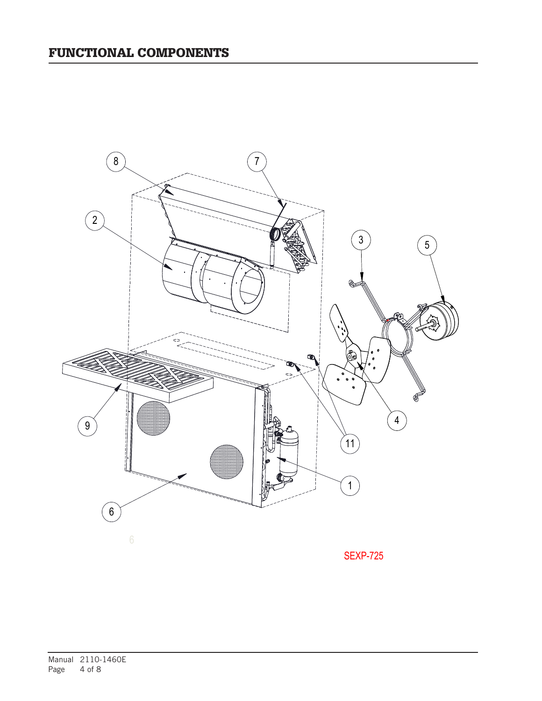

SEXP-725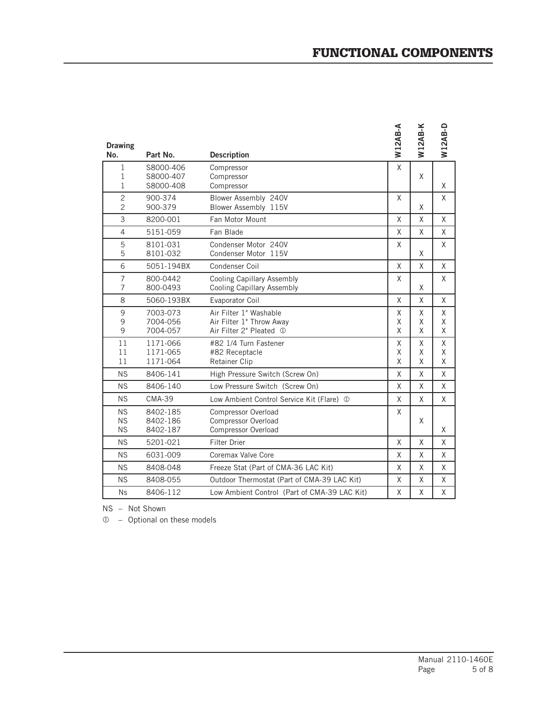| <b>Drawing</b><br>No.            | Part No.               | <b>Description</b>                                              | <b>W12AB-A</b> | <b>W12AB-K</b> | <b>W12AB-D</b> |
|----------------------------------|------------------------|-----------------------------------------------------------------|----------------|----------------|----------------|
| 1                                | S8000-406              | Compressor                                                      | X              |                |                |
| 1<br>$\mathbf{1}$                | S8000-407<br>S8000-408 | Compressor<br>Compressor                                        |                | X              | X              |
| $\overline{c}$<br>$\overline{2}$ | 900-374<br>900-379     | Blower Assembly 240V<br>Blower Assembly 115V                    | X              | X              | X              |
| 3                                | 8200-001               | Fan Motor Mount                                                 | X              | Χ              | X              |
| 4                                | 5151-059               | Fan Blade                                                       | X              | Χ              | X              |
| 5<br>5                           | 8101-031<br>8101-032   | Condenser Motor 240V<br>Condenser Motor 115V                    | X              | Χ              | X              |
| 6                                | 5051-194BX             | Condenser Coil                                                  | X              | X              | X              |
| $\overline{7}$<br>7              | 800-0442<br>800-0493   | <b>Cooling Capillary Assembly</b><br>Cooling Capillary Assembly | X              | Χ              | X              |
| 8                                | 5060-193BX             | Evaporator Coil                                                 | X              | X              | X              |
| 9                                | 7003-073               | Air Filter 1" Washable                                          | Χ              | X              | X              |
| 9<br>9                           | 7004-056<br>7004-057   | Air Filter 1" Throw Away<br>Air Filter 2" Pleated 1             | Χ<br>X         | X<br>X         | X<br>Χ         |
| 11                               | 1171-066               | #82 1/4 Turn Fastener                                           | X              | Χ              | χ              |
| 11<br>11                         | 1171-065<br>1171-064   | #82 Receptacle<br><b>Retainer Clip</b>                          | X<br>X         | X<br>X         | X<br>X         |
| <b>NS</b>                        | 8406-141               | High Pressure Switch (Screw On)                                 | X              | X              | X              |
| NS                               | 8406-140               | Low Pressure Switch (Screw On)                                  | X              | X              | X              |
| <b>NS</b>                        | <b>CMA-39</b>          | Low Ambient Control Service Kit (Flare) 1                       | Χ              | X              | X              |
| <b>NS</b>                        | 8402-185               | Compressor Overload                                             | X              |                |                |
| <b>NS</b><br><b>NS</b>           | 8402-186<br>8402-187   | <b>Compressor Overload</b><br>Compressor Overload               |                | X              | X              |
| <b>NS</b>                        | 5201-021               | <b>Filter Drier</b>                                             | X              | X              | X              |
| <b>NS</b>                        | 6031-009               | Coremax Valve Core                                              | X              | Χ              | X              |
| <b>NS</b>                        | 8408-048               | Freeze Stat (Part of CMA-36 LAC Kit)                            | X              | Χ              | X              |
| <b>NS</b>                        | 8408-055               | Outdoor Thermostat (Part of CMA-39 LAC Kit)                     | X              | X              | X              |
| <b>Ns</b>                        | 8406-112               | Low Ambient Control (Part of CMA-39 LAC Kit)                    | X              | X              | X              |

NS – Not Shown

– Optional on these models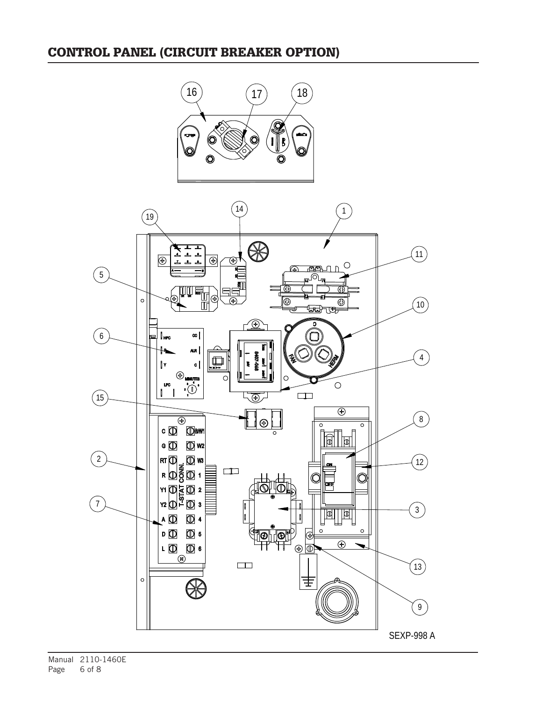#### CONTROL PANEL (CIRCUIT BREAKER OPTION)



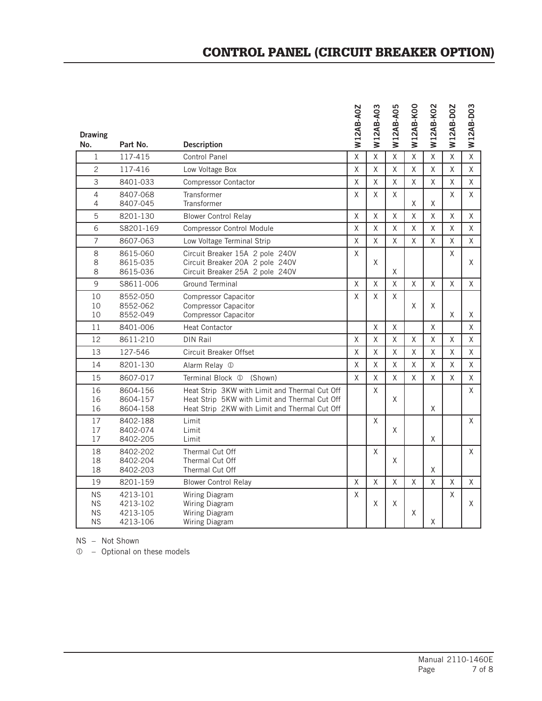|                                                  |                                              |                                                                                                                                                 | <b>W12AB-A0Z</b> | W12AB-A03 | W12AB-A05 | W12AB-KOO    | W12AB-K02      | W12AB-D0Z    | W12AB-D03    |
|--------------------------------------------------|----------------------------------------------|-------------------------------------------------------------------------------------------------------------------------------------------------|------------------|-----------|-----------|--------------|----------------|--------------|--------------|
| <b>Drawing</b><br>No.                            | Part No.                                     | <b>Description</b>                                                                                                                              |                  |           |           |              |                |              |              |
| $\mathbf{1}$                                     | 117-415                                      | <b>Control Panel</b>                                                                                                                            | $\mathsf{X}$     | X         | Χ         | $\mathsf{X}$ | X              | X            | $\mathsf{X}$ |
| $\overline{c}$                                   | 117-416                                      | Low Voltage Box                                                                                                                                 | $\times$         | $\times$  | X         | X            | X              | X            | $\mathsf{X}$ |
| 3                                                | 8401-033                                     | <b>Compressor Contactor</b>                                                                                                                     | $\mathsf{X}$     | $\times$  | $\times$  | X            | X              | $\times$     | $\mathsf{X}$ |
| $\overline{4}$<br>4                              | 8407-068<br>8407-045                         | Transformer<br>Transformer                                                                                                                      | X                | X         | Χ         | X            | X              | X            | $\mathsf{X}$ |
| 5                                                | 8201-130                                     | <b>Blower Control Relay</b>                                                                                                                     | $\mathsf{X}$     | $\sf X$   | Χ         | Χ            | Χ              | $\mathsf{X}$ | $\mathsf{X}$ |
| 6                                                | S8201-169                                    | <b>Compressor Control Module</b>                                                                                                                | X                | X         | χ         | χ            | χ              | X            | X            |
| $\overline{7}$                                   | 8607-063                                     | Low Voltage Terminal Strip                                                                                                                      | $\sf X$          | X         | X         | X            | χ              | X            | X            |
| 8<br>8<br>8                                      | 8615-060<br>8615-035<br>8615-036             | Circuit Breaker 15A 2 pole 240V<br>Circuit Breaker 20A 2 pole 240V<br>Circuit Breaker 25A 2 pole 240V                                           | $\sf X$          | X         | X         |              |                | X            | X            |
| 9                                                | S8611-006                                    | <b>Ground Terminal</b>                                                                                                                          | X                | X         | X         | $\mathsf{X}$ | X              | X            | X            |
| 10<br>10<br>10                                   | 8552-050<br>8552-062<br>8552-049             | Compressor Capacitor<br><b>Compressor Capacitor</b><br><b>Compressor Capacitor</b>                                                              | X                | X         | X         | X            | X              | X            | Χ            |
| 11                                               | 8401-006                                     | <b>Heat Contactor</b>                                                                                                                           |                  | X         | X         |              | χ              |              | X.           |
| 12                                               | 8611-210                                     | <b>DIN Rail</b>                                                                                                                                 | X                | $\times$  | X         | X            | X              | X            | $\mathsf{X}$ |
| 13                                               | 127-546                                      | Circuit Breaker Offset                                                                                                                          | X                | X         | Χ         | χ            | χ              | χ            | X            |
| 14                                               | 8201-130                                     | Alarm Relay 1                                                                                                                                   | X                | X         | X         | X            | X              | X            | X            |
| 15                                               | 8607-017                                     | Terminal Block <sup>1</sup><br>(Shown)                                                                                                          | X                | X         | X         | X            | Χ              | X            | X            |
| 16<br>16<br>16                                   | 8604-156<br>8604-157<br>8604-158             | Heat Strip 3KW with Limit and Thermal Cut Off<br>Heat Strip 5KW with Limit and Thermal Cut Off<br>Heat Strip 2KW with Limit and Thermal Cut Off |                  | X         | X         |              | X              |              | X            |
| 17<br>17<br>17                                   | 8402-188<br>8402-074<br>8402-205             | Limit<br>Limit<br>Limit                                                                                                                         |                  | X         | X         |              | Χ              |              | X            |
| 18<br>18<br>18                                   | 8402-202<br>8402-204<br>8402-203             | Thermal Cut Off<br>Thermal Cut Off<br>Thermal Cut Off                                                                                           |                  | X         | X         |              | χ              |              | X            |
| 19                                               | 8201-159                                     | <b>Blower Control Relay</b>                                                                                                                     | X                | X         | X         | Χ            | $\overline{X}$ | Χ            | $\mathsf{X}$ |
| <b>NS</b><br><b>NS</b><br><b>NS</b><br><b>NS</b> | 4213-101<br>4213-102<br>4213-105<br>4213-106 | Wiring Diagram<br>Wiring Diagram<br>Wiring Diagram<br>Wiring Diagram                                                                            | X                | X         | X         | χ            | Χ              | X            | X            |

NS – Not Shown

– Optional on these models